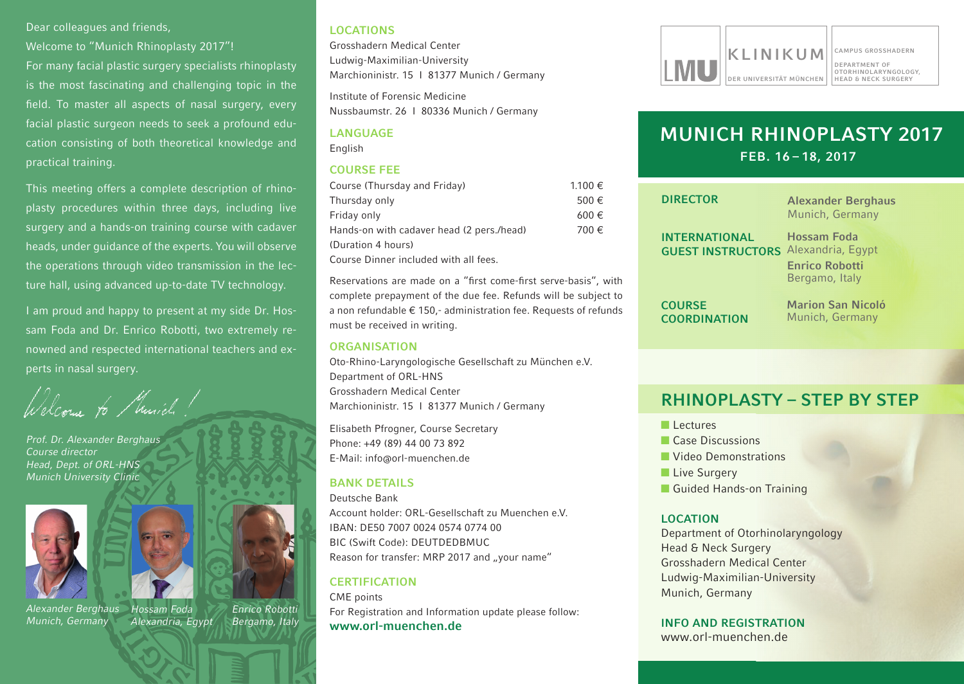#### Dear colleagues and friends.

Welcome to "Munich Rhinoplasty 2017"! For many facial plastic surgery specialists rhinoplasty is the most fascinating and challenging topic in the field. To master all aspects of nasal surgery, every facial plastic surgeon needs to seek a profound education consisting of both theoretical knowledge and practical training.

This meeting offers a complete description of rhinoplasty procedures within three days, including live surgery and a hands-on training course with cadaver heads, under guidance of the experts. you will observe the operations through video transmission in the lecture hall, using advanced up-to-date TV technology.

I am proud and happy to present at my side Dr. Hossam Foda and Dr. Enrico Robotti, two extremely renowned and respected international teachers and experts in nasal surgery.

elcome to Musich!

*Prof. Dr. Alexander Berghaus Course director Head, Dept. of ORL-HNS Munich University Clinic*





*Alexander Berghaus Munich, Germany*



rghaus Hossam Foda Lecture hall *Alexandria, Egypt*

**Marchioninistr. 15 I 8137 Muniches Provincial Science** *Enrico Robotti Bergamo, Italy*

## **LOCATIONS**

Grosshadern Medical Center Ludwig-Maximilian-University Marchioninistr. 15 I 81377 Munich / Germany

Institute of Forensic Medicine Nussbaumstr. 26 I 80336 Munich / Germany

### **LANGUAGE** English

#### **COURSE FEE**

| Course (Thursday and Friday)              | $1.100 \in$ |
|-------------------------------------------|-------------|
| Thursday only                             | 500€        |
| Friday only                               | $600 \in$   |
| Hands-on with cadaver head (2 pers./head) | 700 €       |
| (Duration 4 hours)                        |             |
| Course Dinner included with all fees.     |             |

Reservations are made on a "first come-first serve-basis", with complete prepayment of the due fee. Refunds will be subject to a non refundable  $\epsilon$  150,- administration fee. Requests of refunds must be received in writing.

## **ORGANISATION**

Oto-Rhino-Laryngologische Gesellschaft zu München e.V. Department of ORL-HNS Grosshadern Medical Center Marchioninistr. 15 I 81377 Munich / Germany

Elisabeth Pfrogner, Course Secretary Phone: +49 (89) 44 00 73 892 E-Mail: info@orl-muenchen.de

## **BANK DETAILS**

Deutsche Bank account holder: OrL-Gesellschaft zu Muenchen e.V. IBaN: dE50 7007 0024 0574 0774 00 BIC (Swift Code): DEUTDEDBMUC Reason for transfer: MRP 2017 and "your name"

## **CERTIFICATION**

CME points For Registration and Information update please follow: **www.orl-muenchen.de**



# **MUNICH RHINOPLASTY 2017 FEB. 16 – 18, 2017**

| <b>DIRECTOR</b>                      | <b>Alexander Berghaus</b><br>Munich, Germany |
|--------------------------------------|----------------------------------------------|
| <b>INTERNATIONAL</b>                 | Hossam Foda                                  |
| <b>GUEST INSTRUCTORS</b>             | Alexandria, Egypt                            |
|                                      | <b>Enrico Robotti</b><br>Bergamo, Italy      |
| <b>COURSE</b><br><b>COORDINATION</b> | <b>Marion San Nicoló</b><br>Munich, Germany  |
|                                      |                                              |

## **RHINOPLASTY – STEP BY STEP**

- **Lectures**
- Case Discussions
- **Video Demonstrations**
- Live Surgery
- Guided Hands-on Training

## **LOCATION**

Department of Otorhinolaryngology head & Neck surgery Grosshadern Medical Center Ludwig-Maximilian-University Munich, Germany

**INFO AND REGISTRATION**

www.orl-muenchen.de